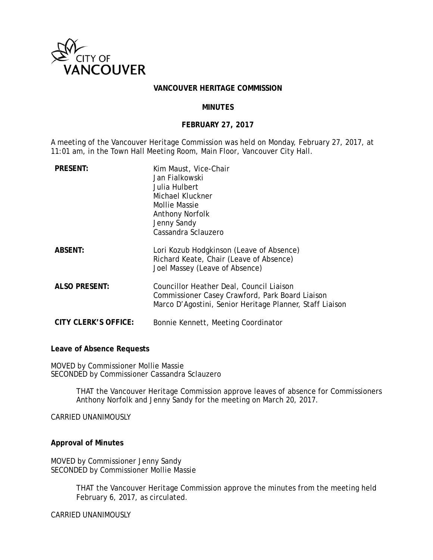

### **VANCOUVER HERITAGE COMMISSION**

### **MINUTES**

### **FEBRUARY 27, 2017**

A meeting of the Vancouver Heritage Commission was held on Monday, February 27, 2017, at 11:01 am, in the Town Hall Meeting Room, Main Floor, Vancouver City Hall.

| <b>PRESENT:</b>             | Kim Maust, Vice-Chair<br>Jan Fialkowski<br>Julia Hulbert<br>Michael Kluckner<br>Mollie Massie<br><b>Anthony Norfolk</b><br>Jenny Sandy<br>Cassandra Sclauzero |
|-----------------------------|---------------------------------------------------------------------------------------------------------------------------------------------------------------|
| <b>ABSENT:</b>              | Lori Kozub Hodgkinson (Leave of Absence)<br>Richard Keate, Chair (Leave of Absence)<br>Joel Massey (Leave of Absence)                                         |
| <b>ALSO PRESENT:</b>        | Councillor Heather Deal, Council Liaison<br>Commissioner Casey Crawford, Park Board Liaison<br>Marco D'Agostini, Senior Heritage Planner, Staff Liaison       |
| <b>CITY CLERK'S OFFICE:</b> | Bonnie Kennett, Meeting Coordinator                                                                                                                           |

**Leave of Absence Requests** 

MOVED by Commissioner Mollie Massie SECONDED by Commissioner Cassandra Sclauzero

> THAT the Vancouver Heritage Commission approve leaves of absence for Commissioners Anthony Norfolk and Jenny Sandy for the meeting on March 20, 2017.

CARRIED UNANIMOUSLY

**Approval of Minutes** 

MOVED by Commissioner Jenny Sandy SECONDED by Commissioner Mollie Massie

> THAT the Vancouver Heritage Commission approve the minutes from the meeting held February 6, 2017, as circulated.

CARRIED UNANIMOUSLY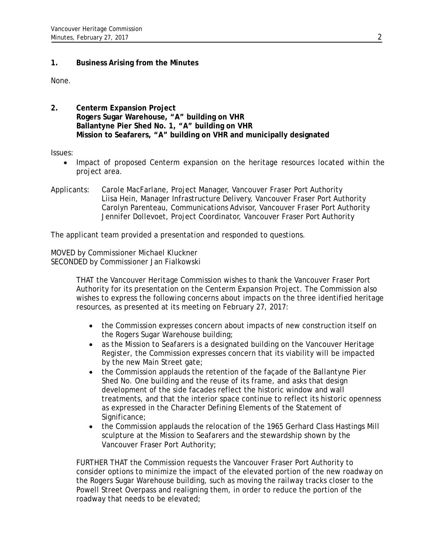# **1. Business Arising from the Minutes**

None.

**2. Centerm Expansion Project Rogers Sugar Warehouse, "A" building on VHR Ballantyne Pier Shed No. 1, "A" building on VHR Mission to Seafarers, "A" building on VHR and municipally designated** 

## Issues:

- Impact of proposed Centerm expansion on the heritage resources located within the project area.
- Applicants: Carole MacFarlane, Project Manager, Vancouver Fraser Port Authority Liisa Hein, Manager Infrastructure Delivery, Vancouver Fraser Port Authority Carolyn Parenteau, Communications Advisor, Vancouver Fraser Port Authority Jennifer Dollevoet, Project Coordinator, Vancouver Fraser Port Authority

The applicant team provided a presentation and responded to questions.

MOVED by Commissioner Michael Kluckner SECONDED by Commissioner Jan Fialkowski

> THAT the Vancouver Heritage Commission wishes to thank the Vancouver Fraser Port Authority for its presentation on the Centerm Expansion Project. The Commission also wishes to express the following concerns about impacts on the three identified heritage resources, as presented at its meeting on February 27, 2017:

- the Commission expresses concern about impacts of new construction itself on the Rogers Sugar Warehouse building;
- as the Mission to Seafarers is a designated building on the Vancouver Heritage Register, the Commission expresses concern that its viability will be impacted by the new Main Street gate;
- the Commission applauds the retention of the façade of the Ballantyne Pier Shed No. One building and the reuse of its frame, and asks that design development of the side facades reflect the historic window and wall treatments, and that the interior space continue to reflect its historic openness as expressed in the Character Defining Elements of the Statement of Significance;
- the Commission applauds the relocation of the 1965 Gerhard Class Hastings Mill sculpture at the Mission to Seafarers and the stewardship shown by the Vancouver Fraser Port Authority;

FURTHER THAT the Commission requests the Vancouver Fraser Port Authority to consider options to minimize the impact of the elevated portion of the new roadway on the Rogers Sugar Warehouse building, such as moving the railway tracks closer to the Powell Street Overpass and realigning them, in order to reduce the portion of the roadway that needs to be elevated;